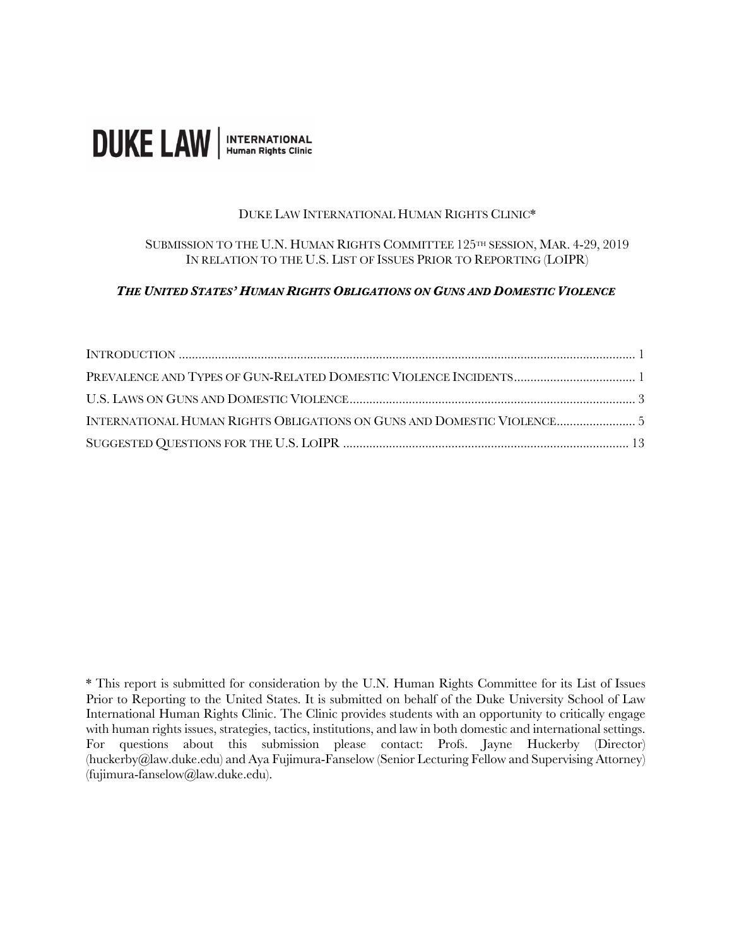

# DUKE LAW INTERNATIONAL HUMAN RIGHTS CLINIC\*

# SUBMISSION TO THE U.N. HUMAN RIGHTS COMMITTEE 125TH SESSION, MAR. 4-29, 2019 IN RELATION TO THE U.S. LIST OF ISSUES PRIOR TO REPORTING (LOIPR)

### *THE UNITED STATES' HUMAN RIGHTS OBLIGATIONS ON GUNS AND DOMESTIC VIOLENCE*

| INTERNATIONAL HUMAN RIGHTS OBLIGATIONS ON GUNS AND DOMESTIC VIOLENCE 5 |  |
|------------------------------------------------------------------------|--|
|                                                                        |  |

\* This report is submitted for consideration by the U.N. Human Rights Committee for its List of Issues Prior to Reporting to the United States. It is submitted on behalf of the Duke University School of Law International Human Rights Clinic. The Clinic provides students with an opportunity to critically engage with human rights issues, strategies, tactics, institutions, and law in both domestic and international settings. For questions about this submission please contact: Profs. Jayne Huckerby (Director) (huckerby@law.duke.edu) and Aya Fujimura-Fanselow (Senior Lecturing Fellow and Supervising Attorney) (fujimura-fanselow@law.duke.edu).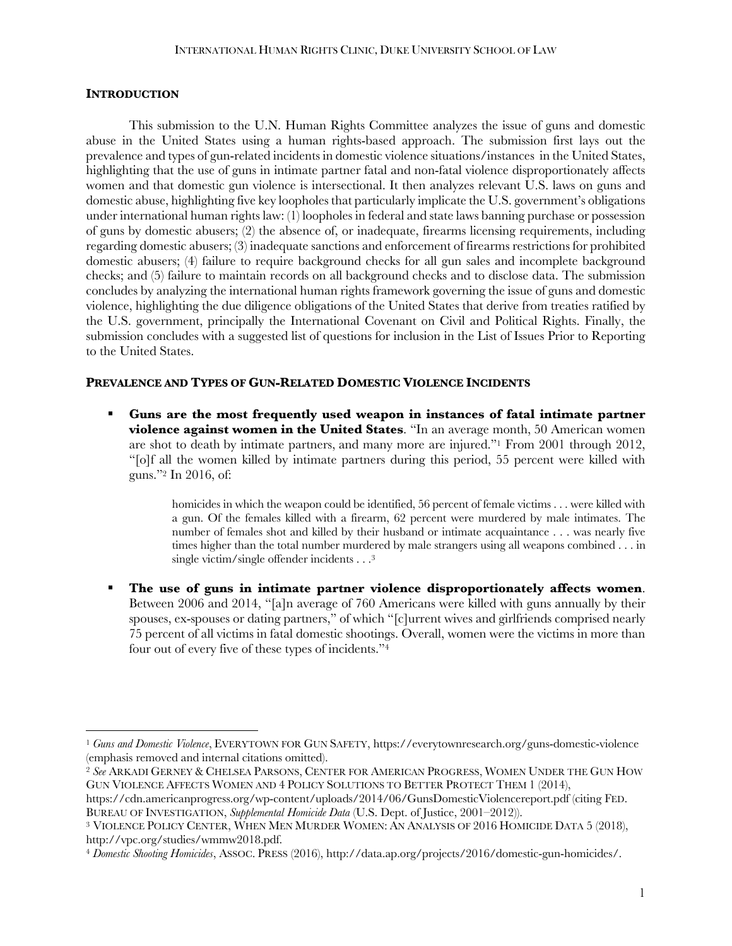# **INTRODUCTION**

 $\overline{a}$ 

This submission to the U.N. Human Rights Committee analyzes the issue of guns and domestic abuse in the United States using a human rights-based approach. The submission first lays out the prevalence and types of gun-related incidents in domestic violence situations/instances in the United States, highlighting that the use of guns in intimate partner fatal and non-fatal violence disproportionately affects women and that domestic gun violence is intersectional. It then analyzes relevant U.S. laws on guns and domestic abuse, highlighting five key loopholes that particularly implicate the U.S. government's obligations under international human rights law: (1) loopholes in federal and state laws banning purchase or possession of guns by domestic abusers; (2) the absence of, or inadequate, firearms licensing requirements, including regarding domestic abusers; (3) inadequate sanctions and enforcement of firearms restrictions for prohibited domestic abusers; (4) failure to require background checks for all gun sales and incomplete background checks; and (5) failure to maintain records on all background checks and to disclose data. The submission concludes by analyzing the international human rights framework governing the issue of guns and domestic violence, highlighting the due diligence obligations of the United States that derive from treaties ratified by the U.S. government, principally the International Covenant on Civil and Political Rights. Finally, the submission concludes with a suggested list of questions for inclusion in the List of Issues Prior to Reporting to the United States.

# **PREVALENCE AND TYPES OF GUN-RELATED DOMESTIC VIOLENCE INCIDENTS**

§ **Guns are the most frequently used weapon in instances of fatal intimate partner violence against women in the United States**. "In an average month, 50 American women are shot to death by intimate partners, and many more are injured."1 From 2001 through 2012, "[o]f all the women killed by intimate partners during this period, 55 percent were killed with guns."2 In 2016, of:

> homicides in which the weapon could be identified, 56 percent of female victims . . . were killed with a gun. Of the females killed with a firearm, 62 percent were murdered by male intimates. The number of females shot and killed by their husband or intimate acquaintance . . . was nearly five times higher than the total number murdered by male strangers using all weapons combined . . . in single victim/single offender incidents . . .3

§ **The use of guns in intimate partner violence disproportionately affects women**. Between 2006 and 2014, "[a]n average of 760 Americans were killed with guns annually by their spouses, ex-spouses or dating partners," of which "[c]urrent wives and girlfriends comprised nearly 75 percent of all victims in fatal domestic shootings. Overall, women were the victims in more than four out of every five of these types of incidents."4

<sup>1</sup> *Guns and Domestic Violence*, EVERYTOWN FOR GUN SAFETY, https://everytownresearch.org/guns-domestic-violence (emphasis removed and internal citations omitted).

<sup>2</sup> *See* ARKADI GERNEY & CHELSEA PARSONS, CENTER FOR AMERICAN PROGRESS, WOMEN UNDER THE GUN HOW GUN VIOLENCE AFFECTS WOMEN AND 4 POLICY SOLUTIONS TO BETTER PROTECT THEM 1 (2014),

https://cdn.americanprogress.org/wp-content/uploads/2014/06/GunsDomesticViolencereport.pdf (citing FED. BUREAU OF INVESTIGATION, *Supplemental Homicide Data* (U.S. Dept. of Justice, 2001–2012)).

<sup>3</sup> VIOLENCE POLICY CENTER, WHEN MEN MURDER WOMEN: AN ANALYSIS OF 2016 HOMICIDE DATA 5 (2018), http://vpc.org/studies/wmmw2018.pdf.

<sup>4</sup> *Domestic Shooting Homicides*, ASSOC. PRESS (2016), http://data.ap.org/projects/2016/domestic-gun-homicides/.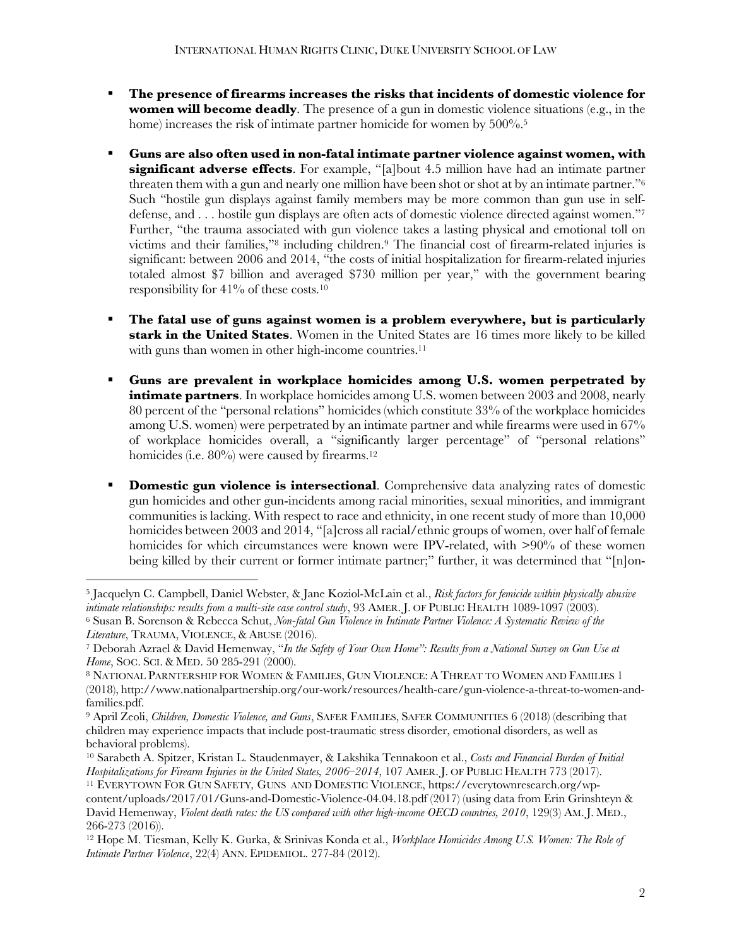- § **The presence of firearms increases the risks that incidents of domestic violence for women will become deadly**. The presence of a gun in domestic violence situations (e.g., in the home) increases the risk of intimate partner homicide for women by  $500\%$ .<sup>5</sup>
- § **Guns are also often used in non-fatal intimate partner violence against women, with significant adverse effects**. For example, "[a]bout 4.5 million have had an intimate partner threaten them with a gun and nearly one million have been shot or shot at by an intimate partner."6 Such "hostile gun displays against family members may be more common than gun use in selfdefense, and . . . hostile gun displays are often acts of domestic violence directed against women."7 Further, "the trauma associated with gun violence takes a lasting physical and emotional toll on victims and their families,"8 including children.9 The financial cost of firearm-related injuries is significant: between 2006 and 2014, "the costs of initial hospitalization for firearm-related injuries totaled almost \$7 billion and averaged \$730 million per year," with the government bearing responsibility for  $41\%$  of these costs.<sup>10</sup>
- § **The fatal use of guns against women is a problem everywhere, but is particularly stark in the United States**. Women in the United States are 16 times more likely to be killed with guns than women in other high-income countries.<sup>11</sup>
- § **Guns are prevalent in workplace homicides among U.S. women perpetrated by intimate partners**. In workplace homicides among U.S. women between 2003 and 2008, nearly 80 percent of the "personal relations" homicides (which constitute 33% of the workplace homicides among U.S. women) were perpetrated by an intimate partner and while firearms were used in 67% of workplace homicides overall, a "significantly larger percentage" of "personal relations" homicides (i.e.  $80\%$ ) were caused by firearms.<sup>12</sup>
- **Domestic gun violence is intersectional**. Comprehensive data analyzing rates of domestic gun homicides and other gun-incidents among racial minorities, sexual minorities, and immigrant communities is lacking. With respect to race and ethnicity, in one recent study of more than 10,000 homicides between 2003 and 2014, "[a]cross all racial/ethnic groups of women, over half of female homicides for which circumstances were known were IPV-related, with >90% of these women being killed by their current or former intimate partner;" further, it was determined that "[n]on-

 $\overline{a}$ <sup>5</sup> Jacquelyn C. Campbell, Daniel Webster, & Jane Koziol-McLain et al., *Risk factors for femicide within physically abusive intimate relationships: results from a multi-site case control study*, 93 AMER. J. OF PUBLIC HEALTH 1089-1097 (2003).

<sup>6</sup> Susan B. Sorenson & Rebecca Schut, *Non-fatal Gun Violence in Intimate Partner Violence: A Systematic Review of the Literature*, TRAUMA, VIOLENCE, & ABUSE (2016).

<sup>7</sup> Deborah Azrael & David Hemenway, "*In the Safety of Your Own Home": Results from a National Survey on Gun Use at Home*, SOC. SCI. & MED. 50 285-291 (2000).

<sup>8</sup> NATIONAL PARNTERSHIP FOR WOMEN & FAMILIES, GUN VIOLENCE: A THREAT TO WOMEN AND FAMILIES 1 (2018), http://www.nationalpartnership.org/our-work/resources/health-care/gun-violence-a-threat-to-women-andfamilies.pdf.

<sup>9</sup> April Zeoli, *Children, Domestic Violence, and Guns*, SAFER FAMILIES, SAFER COMMUNITIES 6 (2018) (describing that children may experience impacts that include post-traumatic stress disorder, emotional disorders, as well as behavioral problems).

<sup>10</sup> Sarabeth A. Spitzer, Kristan L. Staudenmayer, & Lakshika Tennakoon et al., *Costs and Financial Burden of Initial Hospitalizations for Firearm Injuries in the United States, 2006–2014*, 107 AMER. J. OF PUBLIC HEALTH 773 (2017).

<sup>11</sup> EVERYTOWN FOR GUN SAFETY*,* GUNS AND DOMESTIC VIOLENCE, https://everytownresearch.org/wpcontent/uploads/2017/01/Guns-and-Domestic-Violence-04.04.18.pdf (2017) (using data from Erin Grinshteyn & David Hemenway, *Violent death rates: the US compared with other high-income OECD countries, 2010*, 129(3) AM. J. MED., 266-273 (2016)).

<sup>12</sup> Hope M. Tiesman, Kelly K. Gurka, & Srinivas Konda et al., *Workplace Homicides Among U.S. Women: The Role of Intimate Partner Violence*, 22(4) ANN. EPIDEMIOL. 277-84 (2012).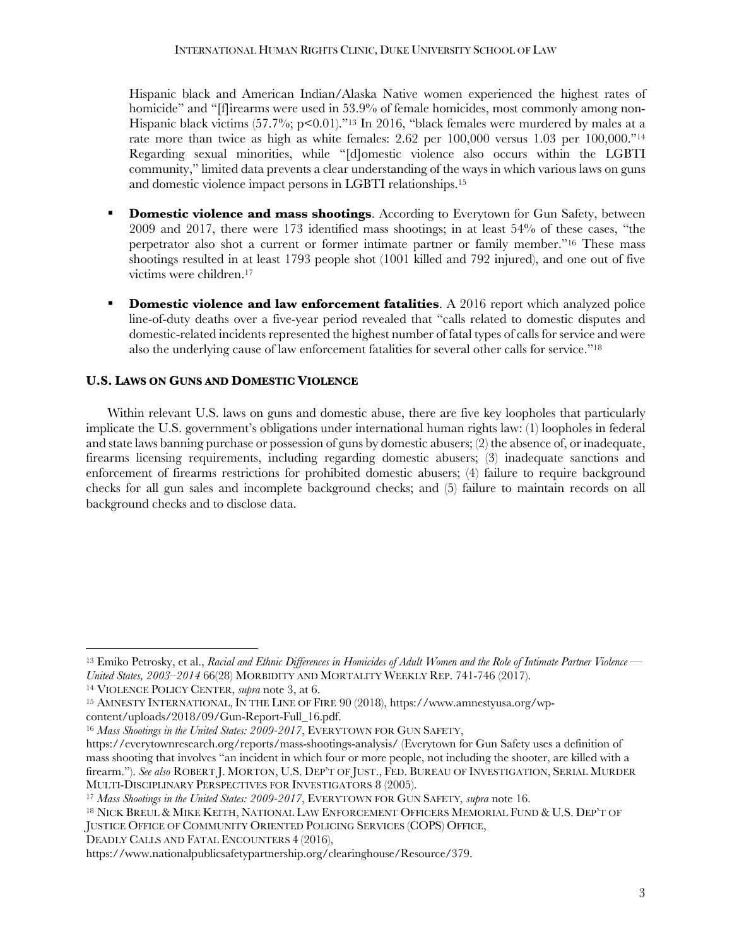Hispanic black and American Indian/Alaska Native women experienced the highest rates of homicide" and "[f]irearms were used in 53.9% of female homicides, most commonly among non-Hispanic black victims  $(57.7\%)$ ; p<0.01)."<sup>13</sup> In 2016, "black females were murdered by males at a rate more than twice as high as white females: 2.62 per 100,000 versus 1.03 per 100,000."14 Regarding sexual minorities, while "[d]omestic violence also occurs within the LGBTI community," limited data prevents a clear understanding of the ways in which various laws on guns and domestic violence impact persons in LGBTI relationships.15

- § **Domestic violence and mass shootings**. According to Everytown for Gun Safety, between 2009 and 2017, there were 173 identified mass shootings; in at least 54% of these cases, "the perpetrator also shot a current or former intimate partner or family member."16 These mass shootings resulted in at least 1793 people shot (1001 killed and 792 injured), and one out of five victims were children.17
- **Domestic violence and law enforcement fatalities**. A 2016 report which analyzed police line-of-duty deaths over a five-year period revealed that "calls related to domestic disputes and domestic-related incidents represented the highest number of fatal types of calls for service and were also the underlying cause of law enforcement fatalities for several other calls for service."18

# **U.S. LAWS ON GUNS AND DOMESTIC VIOLENCE**

Within relevant U.S. laws on guns and domestic abuse, there are five key loopholes that particularly implicate the U.S. government's obligations under international human rights law: (1) loopholes in federal and state laws banning purchase or possession of guns by domestic abusers; (2) the absence of, or inadequate, firearms licensing requirements, including regarding domestic abusers; (3) inadequate sanctions and enforcement of firearms restrictions for prohibited domestic abusers; (4) failure to require background checks for all gun sales and incomplete background checks; and (5) failure to maintain records on all background checks and to disclose data.

 $\overline{a}$ 

<sup>16</sup> *Mass Shootings in the United States: 2009-2017*, EVERYTOWN FOR GUN SAFETY,

DEADLY CALLS AND FATAL ENCOUNTERS 4 (2016),

<sup>13</sup> Emiko Petrosky, et al., *Racial and Ethnic Differences in Homicides of Adult Women and the Role of Intimate Partner Violence — United States, 2003–2014* 66(28) MORBIDITY AND MORTALITY WEEKLY REP. 741-746 (2017).

<sup>14</sup> VIOLENCE POLICY CENTER, *supra* note 3, at 6.

<sup>15</sup> AMNESTY INTERNATIONAL, IN THE LINE OF FIRE 90 (2018), https://www.amnestyusa.org/wpcontent/uploads/2018/09/Gun-Report-Full\_16.pdf.

https://everytownresearch.org/reports/mass-shootings-analysis/ (Everytown for Gun Safety uses a definition of mass shooting that involves "an incident in which four or more people, not including the shooter, are killed with a firearm."). *See also* ROBERT J. MORTON, U.S. DEP'T OF JUST., FED. BUREAU OF INVESTIGATION, SERIAL MURDER MULTI-DISCIPLINARY PERSPECTIVES FOR INVESTIGATORS 8 (2005).

<sup>17</sup> *Mass Shootings in the United States: 2009-2017*, EVERYTOWN FOR GUN SAFETY*, supra* note 16.

<sup>18</sup> NICK BREUL & MIKE KEITH, NATIONAL LAW ENFORCEMENT OFFICERS MEMORIAL FUND & U.S. DEP'T OF JUSTICE OFFICE OF COMMUNITY ORIENTED POLICING SERVICES (COPS) OFFICE,

https://www.nationalpublicsafetypartnership.org/clearinghouse/Resource/379.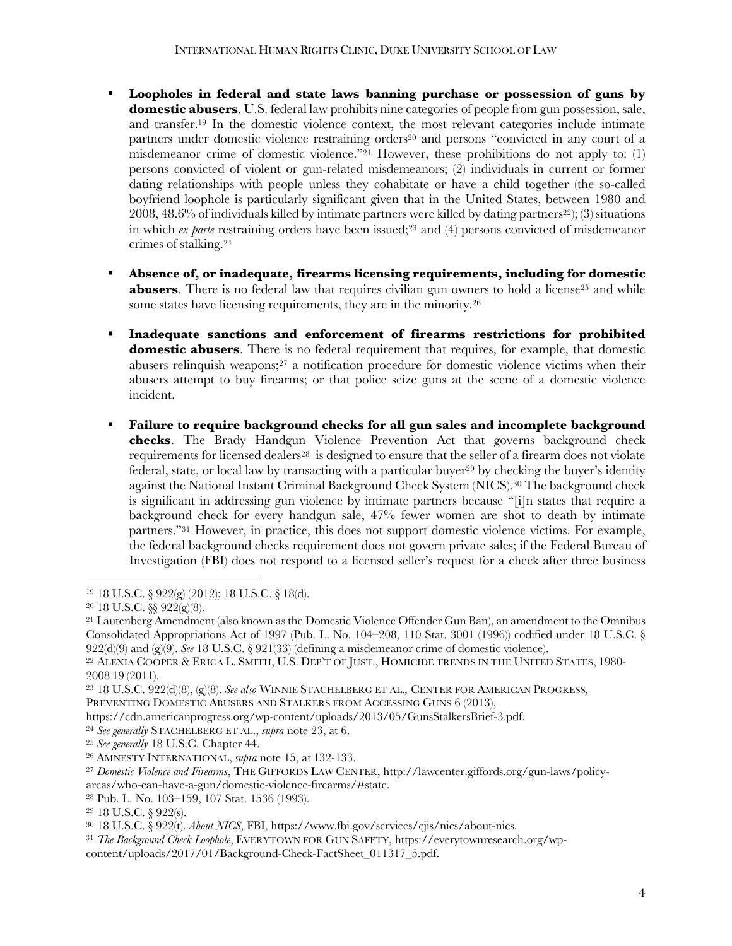- § **Loopholes in federal and state laws banning purchase or possession of guns by domestic abusers**. U.S. federal law prohibits nine categories of people from gun possession, sale, and transfer.19 In the domestic violence context, the most relevant categories include intimate partners under domestic violence restraining orders<sup>20</sup> and persons "convicted in any court of a misdemeanor crime of domestic violence."21 However, these prohibitions do not apply to: (1) persons convicted of violent or gun-related misdemeanors; (2) individuals in current or former dating relationships with people unless they cohabitate or have a child together (the so-called boyfriend loophole is particularly significant given that in the United States, between 1980 and 2008, 48.6% of individuals killed by intimate partners were killed by dating partners<sup>22</sup>); (3) situations in which *ex parte* restraining orders have been issued;23 and (4) persons convicted of misdemeanor crimes of stalking.24
- § **Absence of, or inadequate, firearms licensing requirements, including for domestic abusers**. There is no federal law that requires civilian gun owners to hold a license<sup>25</sup> and while some states have licensing requirements, they are in the minority.<sup>26</sup>
- § **Inadequate sanctions and enforcement of firearms restrictions for prohibited domestic abusers**. There is no federal requirement that requires, for example, that domestic abusers relinquish weapons; $27$  a notification procedure for domestic violence victims when their abusers attempt to buy firearms; or that police seize guns at the scene of a domestic violence incident.
- § **Failure to require background checks for all gun sales and incomplete background checks**. The Brady Handgun Violence Prevention Act that governs background check requirements for licensed dealers<sup>28</sup> is designed to ensure that the seller of a firearm does not violate federal, state, or local law by transacting with a particular buyer<sup>29</sup> by checking the buyer's identity against the National Instant Criminal Background Check System (NICS).30 The background check is significant in addressing gun violence by intimate partners because "[i]n states that require a background check for every handgun sale, 47% fewer women are shot to death by intimate partners."31 However, in practice, this does not support domestic violence victims. For example, the federal background checks requirement does not govern private sales; if the Federal Bureau of Investigation (FBI) does not respond to a licensed seller's request for a check after three business

 $\overline{a}$ 

PREVENTING DOMESTIC ABUSERS AND STALKERS FROM ACCESSING GUNS 6 (2013),

<sup>24</sup> *See generally* STACHELBERG ET AL., *supra* note 23, at 6.

<sup>19</sup> 18 U.S.C. § 922(g) (2012); 18 U.S.C. § 18(d).

<sup>20</sup> 18 U.S.C. §§ 922(g)(8).

<sup>21</sup> Lautenberg Amendment (also known as the Domestic Violence Offender Gun Ban), an amendment to the Omnibus Consolidated Appropriations Act of 1997 (Pub. L. No. 104–208, 110 Stat. 3001 (1996)) codified under 18 U.S.C. § 922(d)(9) and (g)(9). *See* 18 U.S.C. § 921(33) (defining a misdemeanor crime of domestic violence).

<sup>22</sup> ALEXIA COOPER & ERICA L. SMITH, U.S. DEP'T OF JUST., HOMICIDE TRENDS IN THE UNITED STATES, 1980- 2008 19 (2011).

<sup>23</sup> 18 U.S.C. 922(d)(8), (g)(8). *See also* WINNIE STACHELBERG ET AL.*,* CENTER FOR AMERICAN PROGRESS*,* 

https://cdn.americanprogress.org/wp-content/uploads/2013/05/GunsStalkersBrief-3.pdf.

<sup>25</sup> *See generally* 18 U.S.C. Chapter 44.

<sup>26</sup> AMNESTY INTERNATIONAL, *supra* note 15, at 132-133.

<sup>27</sup> *Domestic Violence and Firearms*, THE GIFFORDS LAW CENTER, http://lawcenter.giffords.org/gun-laws/policyareas/who-can-have-a-gun/domestic-violence-firearms/#state.

<sup>28</sup> Pub. L. No. 103–159, 107 Stat. 1536 (1993).

<sup>&</sup>lt;sup>29</sup> 18 U.S.C. § 922(s).<br><sup>30</sup> 18 U.S.C. § 922(t). *About NICS*, FBI, https://www.fbi.gov/services/ciis/nics/about-nics.

<sup>31</sup> *The Background Check Loophole*, EVERYTOWN FOR GUN SAFETY, https://everytownresearch.org/wp-

content/uploads/2017/01/Background-Check-FactSheet\_011317\_5.pdf.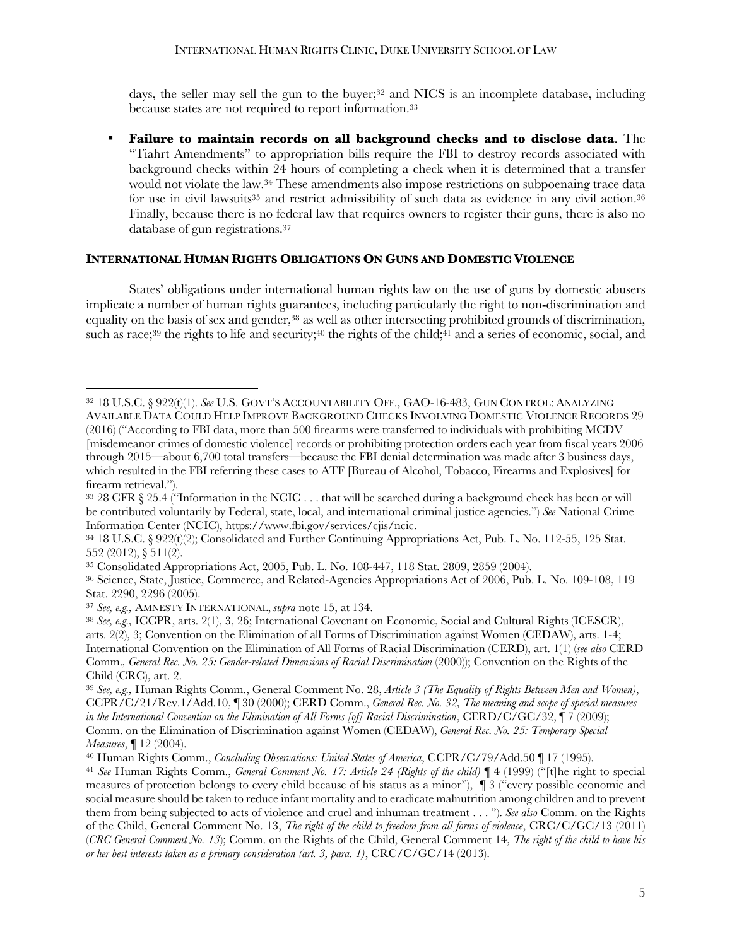days, the seller may sell the gun to the buyer;<sup>32</sup> and NICS is an incomplete database, including because states are not required to report information.33

§ **Failure to maintain records on all background checks and to disclose data**. The "Tiahrt Amendments" to appropriation bills require the FBI to destroy records associated with background checks within 24 hours of completing a check when it is determined that a transfer would not violate the law.34 These amendments also impose restrictions on subpoenaing trace data for use in civil lawsuits<sup>35</sup> and restrict admissibility of such data as evidence in any civil action.<sup>36</sup> Finally, because there is no federal law that requires owners to register their guns, there is also no database of gun registrations.37

#### **INTERNATIONAL HUMAN RIGHTS OBLIGATIONS ON GUNS AND DOMESTIC VIOLENCE**

States' obligations under international human rights law on the use of guns by domestic abusers implicate a number of human rights guarantees, including particularly the right to non-discrimination and equality on the basis of sex and gender,38 as well as other intersecting prohibited grounds of discrimination, such as race;<sup>39</sup> the rights to life and security;<sup>40</sup> the rights of the child;<sup>41</sup> and a series of economic, social, and

<sup>32</sup> 18 U.S.C. § 922(t)(1). *See* U.S. GOVT'S ACCOUNTABILITY OFF., GAO-16-483, GUN CONTROL: ANALYZING AVAILABLE DATA COULD HELP IMPROVE BACKGROUND CHECKS INVOLVING DOMESTIC VIOLENCE RECORDS 29 (2016) ("According to FBI data, more than 500 firearms were transferred to individuals with prohibiting MCDV [misdemeanor crimes of domestic violence] records or prohibiting protection orders each year from fiscal years 2006 through 2015—about 6,700 total transfers—because the FBI denial determination was made after 3 business days, which resulted in the FBI referring these cases to ATF [Bureau of Alcohol, Tobacco, Firearms and Explosives] for firearm retrieval.").

<sup>33</sup> 28 CFR § 25.4 ("Information in the NCIC . . . that will be searched during a background check has been or will be contributed voluntarily by Federal, state, local, and international criminal justice agencies.") *See* National Crime Information Center (NCIC), https://www.fbi.gov/services/cjis/ncic.

<sup>34</sup> 18 U.S.C. § 922(t)(2); Consolidated and Further Continuing Appropriations Act, Pub. L. No. 112-55, 125 Stat. 552 (2012), § 511(2).

<sup>35</sup> Consolidated Appropriations Act, 2005, Pub. L. No. 108-447, 118 Stat. 2809, 2859 (2004).

<sup>36</sup> Science, State, Justice, Commerce, and Related-Agencies Appropriations Act of 2006, Pub. L. No. 109-108, 119 Stat. 2290, 2296 (2005).

<sup>37</sup> *See, e.g.,* AMNESTY INTERNATIONAL, *supra* note 15, at 134. 38 *See, e.g.,* ICCPR, arts. 2(1), 3, 26; International Covenant on Economic, Social and Cultural Rights (ICESCR), arts. 2(2), 3; Convention on the Elimination of all Forms of Discrimination against Women (CEDAW), arts. 1-4; International Convention on the Elimination of All Forms of Racial Discrimination (CERD), art. 1(1) (*see also* CERD Comm.*, General Rec. No. 25: Gender-related Dimensions of Racial Discrimination* (2000)); Convention on the Rights of the Child (CRC), art. 2.

<sup>39</sup> *See, e.g.,* Human Rights Comm., General Comment No. 28, *Article 3 (The Equality of Rights Between Men and Women)*, CCPR/C/21/Rev.1/Add.10, ¶ 30 (2000); CERD Comm., *General Rec. No. 32, The meaning and scope of special measures in the International Convention on the Elimination of All Forms [of] Racial Discrimination*, CERD/C/GC/32, ¶ 7 (2009); Comm. on the Elimination of Discrimination against Women (CEDAW), *General Rec. No. 25: Temporary Special Measures*, ¶ 12 (2004).

<sup>40</sup> Human Rights Comm., *Concluding Observations: United States of America*, CCPR/C/79/Add.50 ¶ 17 (1995).

<sup>41</sup> *See* Human Rights Comm., *General Comment No. 17: Article 24 (Rights of the child)* ¶ 4 (1999) ("[t]he right to special measures of protection belongs to every child because of his status as a minor"), ¶ 3 ("every possible economic and social measure should be taken to reduce infant mortality and to eradicate malnutrition among children and to prevent them from being subjected to acts of violence and cruel and inhuman treatment . . . "). *See also* Comm. on the Rights of the Child, General Comment No. 13, *The right of the child to freedom from all forms of violence*, CRC/C/GC/13 (2011) (*CRC General Comment No. 13*); Comm. on the Rights of the Child, General Comment 14, *The right of the child to have his or her best interests taken as a primary consideration (art. 3, para. 1)*, CRC/C/GC/14 (2013).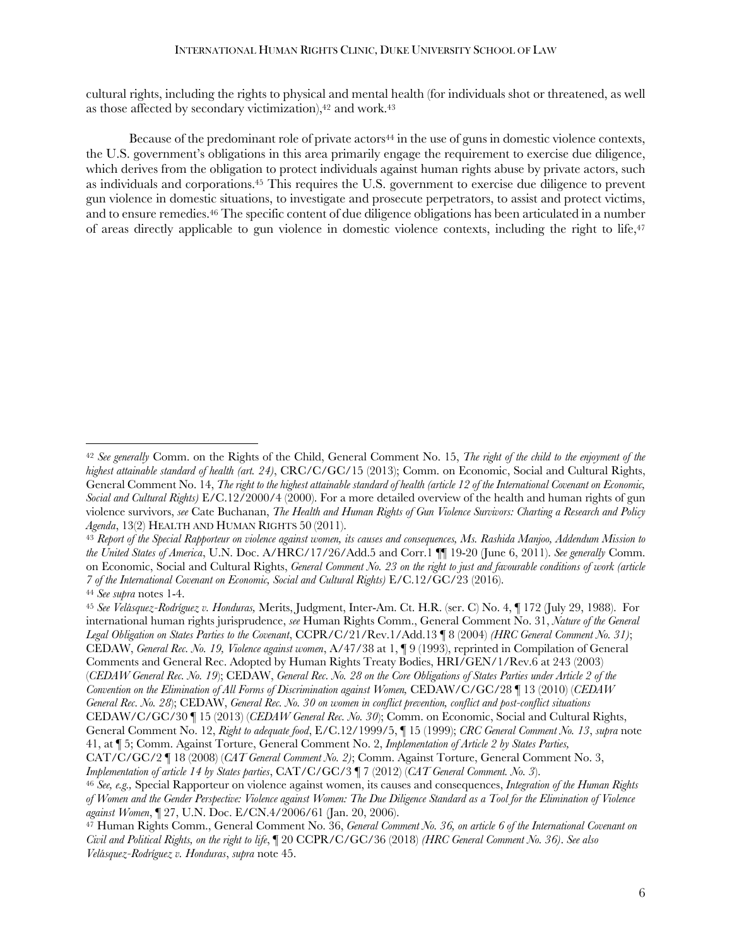cultural rights, including the rights to physical and mental health (for individuals shot or threatened, as well as those affected by secondary victimization), $42$  and work. $43$ 

Because of the predominant role of private actors<sup>44</sup> in the use of guns in domestic violence contexts, the U.S. government's obligations in this area primarily engage the requirement to exercise due diligence, which derives from the obligation to protect individuals against human rights abuse by private actors, such as individuals and corporations.45 This requires the U.S. government to exercise due diligence to prevent gun violence in domestic situations, to investigate and prosecute perpetrators, to assist and protect victims, and to ensure remedies.46 The specific content of due diligence obligations has been articulated in a number of areas directly applicable to gun violence in domestic violence contexts, including the right to life,47

<sup>42</sup> *See generally* Comm. on the Rights of the Child, General Comment No. 15, *The right of the child to the enjoyment of the highest attainable standard of health (art. 24)*, CRC/C/GC/15 (2013); Comm. on Economic, Social and Cultural Rights, General Comment No. 14, *The right to the highest attainable standard of health (article 12 of the International Covenant on Economic, Social and Cultural Rights)* E/C.12/2000/4 (2000). For a more detailed overview of the health and human rights of gun violence survivors, *see* Cate Buchanan, *The Health and Human Rights of Gun Violence Survivors: Charting a Research and Policy Agenda*, 13(2) HEALTH AND HUMAN RIGHTS 50 (2011).

<sup>43</sup> *Report of the Special Rapporteur on violence against women, its causes and consequences, Ms. Rashida Manjoo, Addendum Mission to the United States of America*, U.N. Doc. A/HRC/17/26/Add.5 and Corr.1 ¶¶ 19-20 (June 6, 2011). *See generally* Comm. on Economic, Social and Cultural Rights, *General Comment No. 23 on the right to just and favourable conditions of work (article 7 of the International Covenant on Economic, Social and Cultural Rights)* E/C.12/GC/23 (2016).

<sup>44</sup> *See supra* notes 1-4.

<sup>45</sup> *See Velásquez-Rodríguez v. Honduras,* Merits, Judgment, Inter-Am. Ct. H.R. (ser. C) No. 4, ¶ 172 (July 29, 1988). For international human rights jurisprudence, *see* Human Rights Comm., General Comment No. 31, *Nature of the General Legal Obligation on States Parties to the Covenant*, CCPR/C/21/Rev.1/Add.13 ¶ 8 (2004) *(HRC General Comment No. 31)*; CEDAW, *General Rec. No. 19, Violence against women*, A/47/38 at 1, ¶ 9 (1993), reprinted in Compilation of General Comments and General Rec. Adopted by Human Rights Treaty Bodies, HRI/GEN/1/Rev.6 at 243 (2003) (CEDAW General Rec. No. 19); CEDAW, General Rec. No. 28 on the Core Obligations of States Parties under Article 2 of the *Convention on the Elimination of All Forms of Discrimination against Women,* CEDAW/C/GC/28 ¶ 13 (2010) (*CEDAW* General Rec. No. 28); CEDAW, General Rec. No. 30 on women in conflict prevention, conflict and post-conflict situations CEDAW/C/GC/30 ¶ 15 (2013) (*CEDAW General Rec. No. 30*); Comm. on Economic, Social and Cultural Rights, General Comment No. 12, *Right to adequate food*, E/C.12/1999/5, ¶ 15 (1999); *CRC General Comment No. 13*, *supra* note 41, at ¶ 5; Comm. Against Torture, General Comment No. 2, *Implementation of Article 2 by States Parties,* CAT/C/GC/2 ¶ 18 (2008) (*CAT General Comment No. 2)*; Comm. Against Torture, General Comment No. 3,

*Implementation of article 14 by States parties*, CAT/C/GC/3 ¶ 7 (2012) (*CAT General Comment. No. 3*).

<sup>46</sup> *See, e.g.,* Special Rapporteur on violence against women, its causes and consequences, *Integration of the Human Rights of Women and the Gender Perspective: Violence against Women: The Due Diligence Standard as a Tool for the Elimination of Violence against Women*, ¶ 27, U.N. Doc. E/CN.4/2006/61 (Jan. 20, 2006).

<sup>47</sup> Human Rights Comm., General Comment No. 36, *General Comment No. 36, on article 6 of the International Covenant on Civil and Political Rights, on the right to life*, ¶ 20 CCPR/C/GC/36 (2018) *(HRC General Comment No. 36)*. *See also Velasquez ́ -Rodríguez v. Honduras*, *supra* note 45.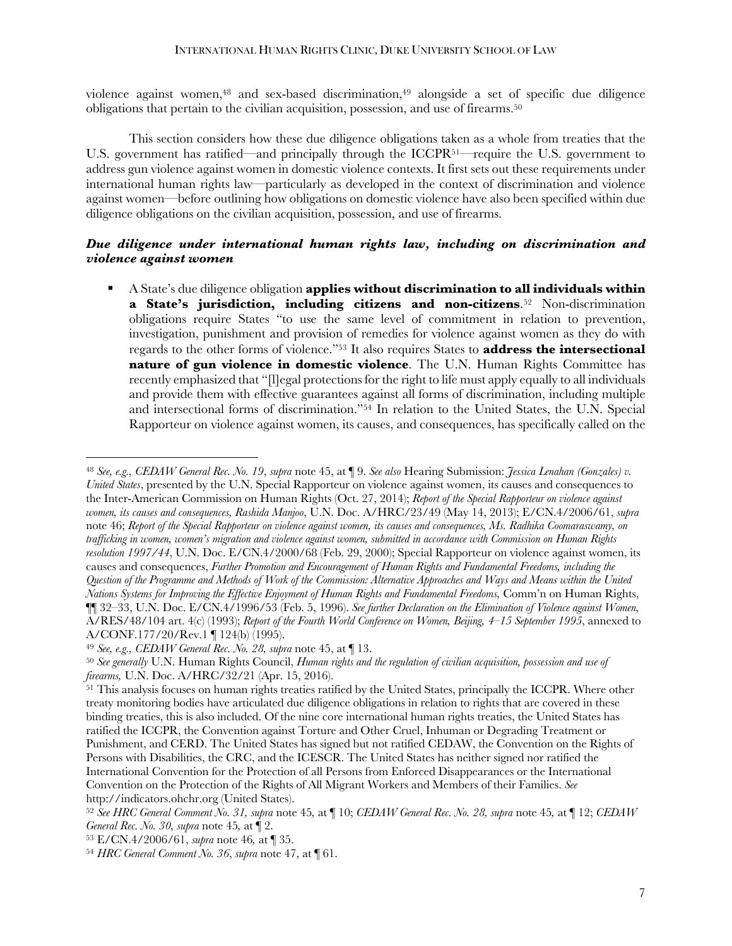violence against women,48 and sex-based discrimination,49 alongside a set of specific due diligence obligations that pertain to the civilian acquisition, possession, and use of firearms.50

This section considers how these due diligence obligations taken as a whole from treaties that the U.S. government has ratified—and principally through the ICCPR51—require the U.S. government to address gun violence against women in domestic violence contexts. It first sets out these requirements under international human rights law—particularly as developed in the context of discrimination and violence against women—before outlining how obligations on domestic violence have also been specified within due diligence obligations on the civilian acquisition, possession, and use of firearms.

# *Due diligence under international human rights law, including on discrimination and violence against women*

§ A State's due diligence obligation **applies without discrimination to all individuals within a State's jurisdiction, including citizens and non-citizens**.52 Non-discrimination obligations require States "to use the same level of commitment in relation to prevention, investigation, punishment and provision of remedies for violence against women as they do with regards to the other forms of violence."53 It also requires States to **address the intersectional nature of gun violence in domestic violence**. The U.N. Human Rights Committee has recently emphasized that "[l]egal protections for the right to life must apply equally to all individuals and provide them with effective guarantees against all forms of discrimination, including multiple and intersectional forms of discrimination."<sup>54</sup> In relation to the United States, the U.N. Special Rapporteur on violence against women, its causes, and consequences, has specifically called on the

<sup>48</sup> *See, e.g., CEDAW General Rec. No. 19*, *supra* note 45, at ¶ 9. *See also* Hearing Submission: *Jessica Lenahan (Gonzales) v. United States*, presented by the U.N. Special Rapporteur on violence against women, its causes and consequences to the Inter-American Commission on Human Rights (Oct. 27, 2014); *Report of the Special Rapporteur on violence against women, its causes and consequences, Rashida Manjoo*, U.N. Doc. A/HRC/23/49 (May 14, 2013); E/CN.4/2006/61, *supra* note 46; Report of the Special Rapporteur on violence against women, its causes and consequences, Ms. Radhika Coomaraswamy, on trafficking in women, women's migration and violence against women, submitted in accordance with Commission on Human Rights *resolution 1997/44*, U.N. Doc. E/CN.4/2000/68 (Feb. 29, 2000); Special Rapporteur on violence against women, its causes and consequences, *Further Promotion and Encouragement of Human Rights and Fundamental Freedoms, including the* Ouestion of the Programme and Methods of Work of the Commission: Alternative Abbroaches and Ways and Means within the United *Nations Systems for Improving the Effective Enjoyment of Human Rights and Fundamental Freedoms,* Comm'n on Human Rights, ¶¶ 32–33, U.N. Doc. E/CN.4/1996/53 (Feb. 5, 1996). *See further Declaration on the Elimination of Violence against Women,* A/RES/48/104 art. 4(c) (1993); *Report of the Fourth World Conference on Women, Beijing, 4–15 September 1995*, annexed to A/CONF.177/20/Rev.1 ¶ 124(b) (1995).

<sup>49</sup> *See, e.g., CEDAW General Rec. No. 28, supra* note 45, at ¶ 13.

<sup>50</sup> *See generally* U.N. Human Rights Council, *Human rights and the regulation of civilian acquisition, possession and use of firearms,* U.N. Doc. A/HRC/32/21 (Apr. 15, 2016).

<sup>&</sup>lt;sup>51</sup> This analysis focuses on human rights treaties ratified by the United States, principally the ICCPR. Where other treaty monitoring bodies have articulated due diligence obligations in relation to rights that are covered in these binding treaties, this is also included. Of the nine core international human rights treaties, the United States has ratified the ICCPR, the Convention against Torture and Other Cruel, Inhuman or Degrading Treatment or Punishment, and CERD. The United States has signed but not ratified CEDAW, the Convention on the Rights of Persons with Disabilities, the CRC, and the ICESCR. The United States has neither signed nor ratified the International Convention for the Protection of all Persons from Enforced Disappearances or the International Convention on the Protection of the Rights of All Migrant Workers and Members of their Families. *See* http://indicators.ohchr.org (United States).

<sup>52</sup> *See HRC General Comment No. 31, supra* note 45*,* at ¶ 10; *CEDAW General Rec. No. 28, supra* note 45*,* at ¶ 12; *CEDAW General Rec. No. 30, supra* note 45*,* at ¶ 2.

<sup>53</sup> E/CN.4/2006/61, *supra* note 46*,* at ¶ 35.

<sup>54</sup> *HRC General Comment No. 36*, *supra* note 47, at ¶ 61.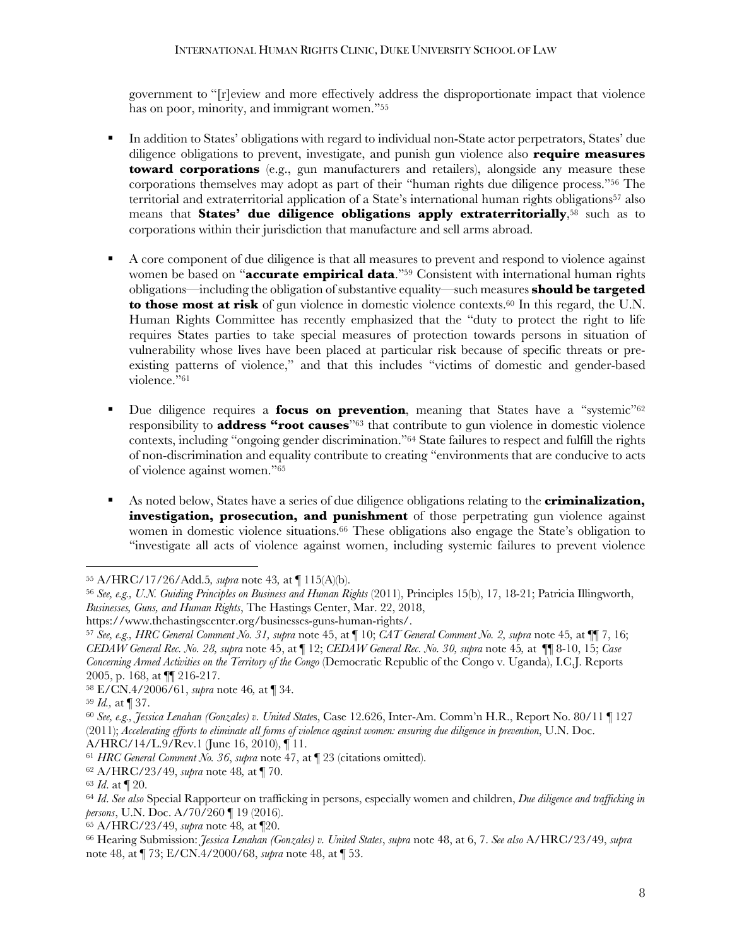government to "[r]eview and more effectively address the disproportionate impact that violence has on poor, minority, and immigrant women."55

- In addition to States' obligations with regard to individual non-State actor perpetrators, States' due diligence obligations to prevent, investigate, and punish gun violence also **require measures toward corporations** (e.g., gun manufacturers and retailers), alongside any measure these corporations themselves may adopt as part of their "human rights due diligence process."56 The territorial and extraterritorial application of a State's international human rights obligations57 also means that **States' due diligence obligations apply extraterritorially**,58 such as to corporations within their jurisdiction that manufacture and sell arms abroad.
- § A core component of due diligence is that all measures to prevent and respond to violence against women be based on "**accurate empirical data**."59 Consistent with international human rights obligations—including the obligation of substantive equality—such measures **should be targeted to those most at risk** of gun violence in domestic violence contexts.60 In this regard, the U.N. Human Rights Committee has recently emphasized that the "duty to protect the right to life requires States parties to take special measures of protection towards persons in situation of vulnerability whose lives have been placed at particular risk because of specific threats or preexisting patterns of violence," and that this includes "victims of domestic and gender-based violence."<sup>61</sup>
- Due diligence requires a **focus on prevention**, meaning that States have a "systemic"<sup>62</sup> responsibility to **address "root causes**"63 that contribute to gun violence in domestic violence contexts, including "ongoing gender discrimination."64 State failures to respect and fulfill the rights of non-discrimination and equality contribute to creating "environments that are conducive to acts of violence against women."65
- § As noted below, States have a series of due diligence obligations relating to the **criminalization, investigation, prosecution, and punishment** of those perpetrating gun violence against women in domestic violence situations.66 These obligations also engage the State's obligation to "investigate all acts of violence against women, including systemic failures to prevent violence

<sup>55</sup> A/HRC/17/26/Add.5*, supra* note 43*,* at ¶ 115(A)(b).

<sup>56</sup> *See, e.g., U.N. Guiding Principles on Business and Human Rights* (2011), Principles 15(b), 17, 18-21; Patricia Illingworth, *Businesses, Guns, and Human Rights*, The Hastings Center, Mar. 22, 2018,

https://www.thehastingscenter.org/businesses-guns-human-rights/.

<sup>57</sup> *See, e.g., HRC General Comment No. 31, supra* note 45, at ¶ 10; *CAT General Comment No. 2, supra* note 45*,* at ¶¶ 7, 16; *CEDAW General Rec. No. 28, supra* note 45, at ¶ 12; *CEDAW General Rec. No. 30, supra* note 45*,* at ¶¶ 8-10, 15; *Case Concerning Armed Activities on the Territory of the Congo* (Democratic Republic of the Congo v. Uganda), I.C.J. Reports 2005, p. 168, at  $\P$  216-217.

<sup>&</sup>lt;sup>58</sup> E/CN.4/2006/61, *supra* note 46, at ¶ 34.

<sup>59</sup> *Id.,* at ¶ 37.

<sup>60</sup> *See, e.g., Jessica Lenahan (Gonzales) v. United State*s, Case 12.626, Inter-Am. Comm'n H.R., Report No. 80/11 ¶ 127 (2011); *Accelerating efforts to eliminate all forms of violence against women: ensuring due diligence in prevention*, U.N. Doc.

A/HRC/14/L.9/Rev.1 (June 16, 2010), ¶ 11.

<sup>61</sup> *HRC General Comment No. 36*, *supra* note 47, at ¶ 23 (citations omitted).

<sup>62</sup> A/HRC/23/49, *supra* note 48*,* at ¶ 70.

<sup>63</sup> *Id*. at ¶ 20.

<sup>64</sup> *Id*. *See also* Special Rapporteur on trafficking in persons, especially women and children, *Due diligence and trafficking in persons*, U.N. Doc. A/70/260 ¶ 19 (2016).

<sup>&</sup>lt;sup>65</sup> A/HRC/23/49, *supra* note 48, at ¶20.<br><sup>66</sup> Hearing Submission: Jessica Lenahan (Gonzales) v. United States, supra note 48, at 6, 7. See also A/HRC/23/49, supra note 48, at ¶ 73; E/CN.4/2000/68, *supra* note 48, at ¶ 53.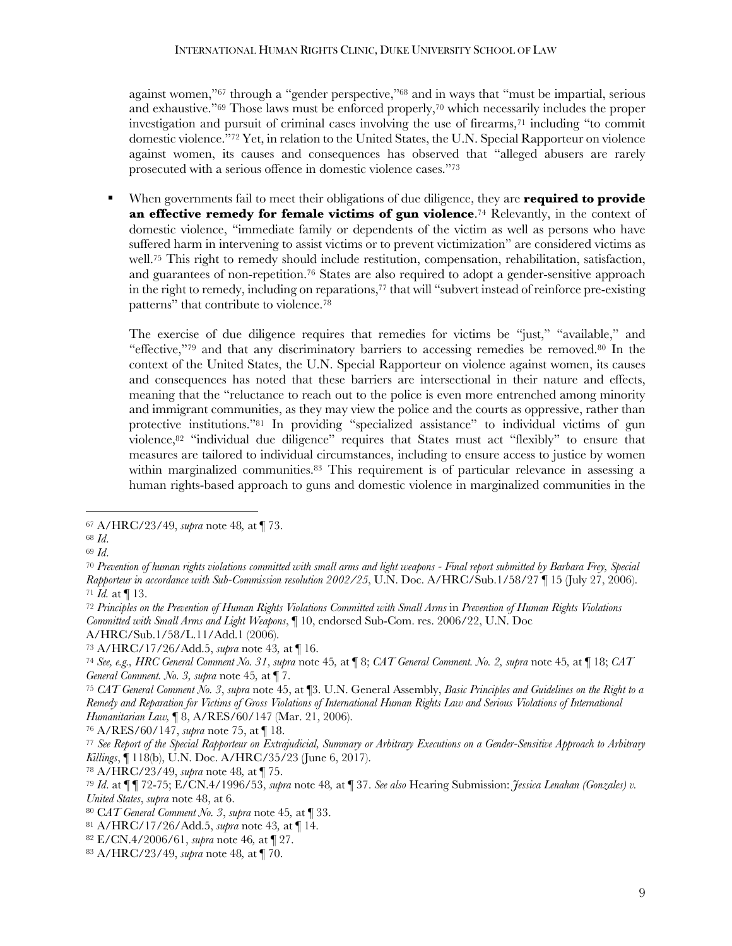#### INTERNATIONAL HUMAN RIGHTS CLINIC, DUKE UNIVERSITY SCHOOL OF LAW

against women,"67 through a "gender perspective,"68 and in ways that "must be impartial, serious and exhaustive."69 Those laws must be enforced properly,70 which necessarily includes the proper investigation and pursuit of criminal cases involving the use of firearms,71 including "to commit domestic violence."72 Yet, in relation to the United States, the U.N. Special Rapporteur on violence against women, its causes and consequences has observed that "alleged abusers are rarely prosecuted with a serious offence in domestic violence cases."73

§ When governments fail to meet their obligations of due diligence, they are **required to provide an effective remedy for female victims of gun violence**.74 Relevantly, in the context of domestic violence, "immediate family or dependents of the victim as well as persons who have suffered harm in intervening to assist victims or to prevent victimization" are considered victims as well.75 This right to remedy should include restitution, compensation, rehabilitation, satisfaction, and guarantees of non-repetition.76 States are also required to adopt a gender-sensitive approach in the right to remedy, including on reparations,<sup>77</sup> that will "subvert instead of reinforce pre-existing patterns" that contribute to violence.78

The exercise of due diligence requires that remedies for victims be "just," "available," and "effective,"79 and that any discriminatory barriers to accessing remedies be removed.80 In the context of the United States, the U.N. Special Rapporteur on violence against women, its causes and consequences has noted that these barriers are intersectional in their nature and effects, meaning that the "reluctance to reach out to the police is even more entrenched among minority and immigrant communities, as they may view the police and the courts as oppressive, rather than protective institutions."81 In providing "specialized assistance" to individual victims of gun violence,82 "individual due diligence" requires that States must act "flexibly" to ensure that measures are tailored to individual circumstances, including to ensure access to justice by women within marginalized communities.<sup>83</sup> This requirement is of particular relevance in assessing a human rights-based approach to guns and domestic violence in marginalized communities in the

 $\overline{a}$ 

A/HRC/Sub.1/58/L.11/Add.1 (2006).

<sup>76</sup> A/RES/60/147, *supra* note 75, at ¶ 18.

<sup>67</sup> A/HRC/23/49, *supra* note 48*,* at ¶ 73.

<sup>68</sup> *Id*. 69 *Id*.

<sup>70</sup> *Prevention of human rights violations committed with small arms and light weapons - Final report submitted by Barbara Frey, Special Rapporteur in accordance with Sub-Commission resolution 2002/25*, U.N. Doc. A/HRC/Sub.1/58/27 ¶ 15 (July 27, 2006). <sup>71</sup> *Id.* at ¶ 13.

<sup>72</sup> *Principles on the Prevention of Human Rights Violations Committed with Small Arms* in *Prevention of Human Rights Violations Committed with Small Arms and Light Weapons*, ¶ 10, endorsed Sub-Com. res. 2006/22, U.N. Doc

<sup>73</sup> A/HRC/17/26/Add.5, *supra* note 43*,* at ¶ 16.

<sup>74</sup> *See, e.g., HRC General Comment No. 31*, *supra* note 45*,* at ¶ 8; *CAT General Comment. No. 2, supra* note 45*,* at ¶ 18; *CAT General Comment. No. 3, supra* note 45*,* at ¶ 7.

<sup>75</sup> *CAT General Comment No. 3*, *supra* note 45, at ¶3. U.N. General Assembly, *Basic Principles and Guidelines on the Right to a Remedy and Reparation for Victims of Gross Violations of International Human Rights Law and Serious Violations of International Humanitarian Law,* ¶ 8, A/RES/60/147 (Mar. 21, 2006).

<sup>77</sup> *See Report of the Special Rapporteur on Extrajudicial, Summary or Arbitrary Executions on a Gender-Sensitive Approach to Arbitrary Killings*, ¶ 118(b), U.N. Doc. A/HRC/35/23 (June 6, 2017).

<sup>78</sup> A/HRC/23/49, *supra* note 48*,* at ¶ 75.

<sup>79</sup> *Id*. at ¶ ¶ 72-75; E/CN.4/1996/53, *supra* note 48*,* at ¶ 37. *See also* Hearing Submission: *Jessica Lenahan (Gonzales) v. United States*, *supra* note 48, at 6.

<sup>80</sup> C*AT General Comment No. 3*, *supra* note 45*,* at ¶ 33.

<sup>81</sup> A/HRC/17/26/Add.5, *supra* note 43*,* at ¶ 14.

<sup>82</sup> E/CN.4/2006/61, *supra* note 46*,* at ¶ 27.

<sup>83</sup> A/HRC/23/49, *supra* note 48*,* at ¶ 70.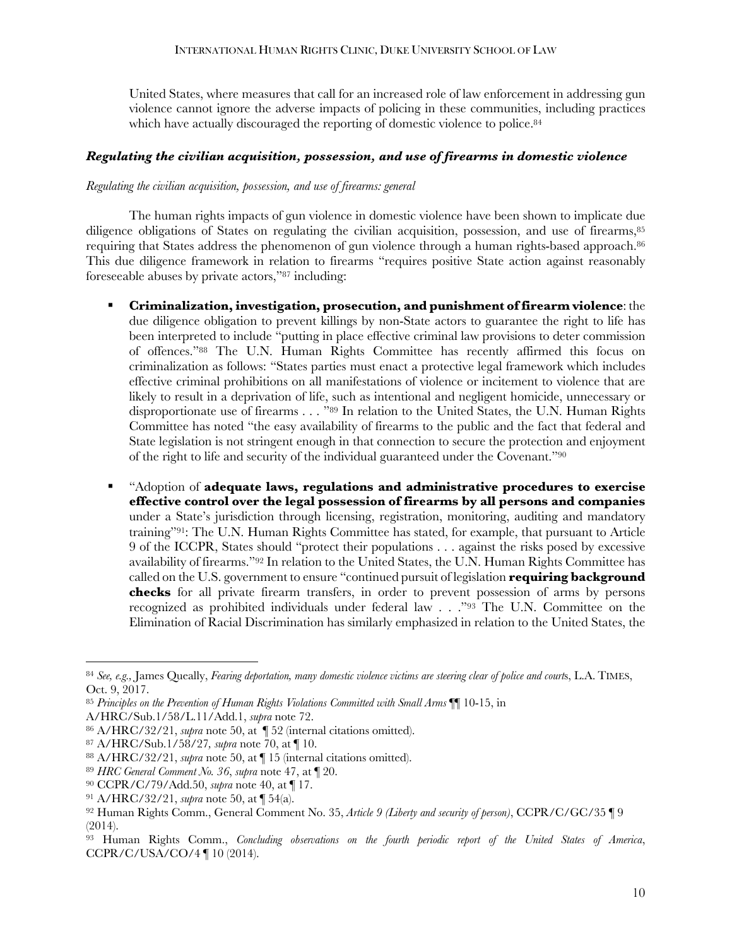United States, where measures that call for an increased role of law enforcement in addressing gun violence cannot ignore the adverse impacts of policing in these communities, including practices which have actually discouraged the reporting of domestic violence to police.<sup>84</sup>

### *Regulating the civilian acquisition, possession, and use of firearms in domestic violence*

#### *Regulating the civilian acquisition, possession, and use of firearms: general*

The human rights impacts of gun violence in domestic violence have been shown to implicate due diligence obligations of States on regulating the civilian acquisition, possession, and use of firearms, 85 requiring that States address the phenomenon of gun violence through a human rights-based approach.86 This due diligence framework in relation to firearms "requires positive State action against reasonably foreseeable abuses by private actors,"87 including:

- § **Criminalization, investigation, prosecution, and punishment of firearm violence**: the due diligence obligation to prevent killings by non-State actors to guarantee the right to life has been interpreted to include "putting in place effective criminal law provisions to deter commission of offences."88 The U.N. Human Rights Committee has recently affirmed this focus on criminalization as follows: "States parties must enact a protective legal framework which includes effective criminal prohibitions on all manifestations of violence or incitement to violence that are likely to result in a deprivation of life, such as intentional and negligent homicide, unnecessary or disproportionate use of firearms . . . "89 In relation to the United States, the U.N. Human Rights Committee has noted "the easy availability of firearms to the public and the fact that federal and State legislation is not stringent enough in that connection to secure the protection and enjoyment of the right to life and security of the individual guaranteed under the Covenant."90
- § "Adoption of **adequate laws, regulations and administrative procedures to exercise effective control over the legal possession of firearms by all persons and companies** under a State's jurisdiction through licensing, registration, monitoring, auditing and mandatory training"91: The U.N. Human Rights Committee has stated, for example, that pursuant to Article 9 of the ICCPR, States should "protect their populations . . . against the risks posed by excessive availability of firearms."92 In relation to the United States, the U.N. Human Rights Committee has called on the U.S. government to ensure "continued pursuit of legislation **requiring background checks** for all private firearm transfers, in order to prevent possession of arms by persons recognized as prohibited individuals under federal law . . ."93 The U.N. Committee on the Elimination of Racial Discrimination has similarly emphasized in relation to the United States, the

<sup>84</sup> *See, e.g.,* James Queally, *Fearing deportation, many domestic violence victims are steering clear of police and court*s, L.A. TIMES, Oct. 9, 2017.

<sup>85</sup> *Principles on the Prevention of Human Rights Violations Committed with Small Arms* ¶¶ 10-15, in

A/HRC/Sub.1/58/L.11/Add.1, *supra* note 72.

<sup>86</sup> A/HRC/32/21, *supra* note 50, at ¶ 52 (internal citations omitted).

<sup>87</sup> A/HRC/Sub.1/58/27*, supra* note 70, at ¶ 10.

<sup>88</sup> A/HRC/32/21, *supra* note 50, at ¶ 15 (internal citations omitted). 89 *HRC General Comment No. 36*, *supra* note 47, at ¶ 20.

<sup>90</sup> CCPR/C/79/Add.50, *supra* note 40, at ¶ 17. 91 A/HRC/32/21, *supra* note 50, at ¶ 54(a).

<sup>92</sup> Human Rights Comm., General Comment No. 35, *Article 9 (Liberty and security of person)*, CCPR/C/GC/35 ¶ 9 (2014).

<sup>93</sup> Human Rights Comm., *Concluding observations on the fourth periodic report of the United States of America*, CCPR/C/USA/CO/4 ¶ 10 (2014).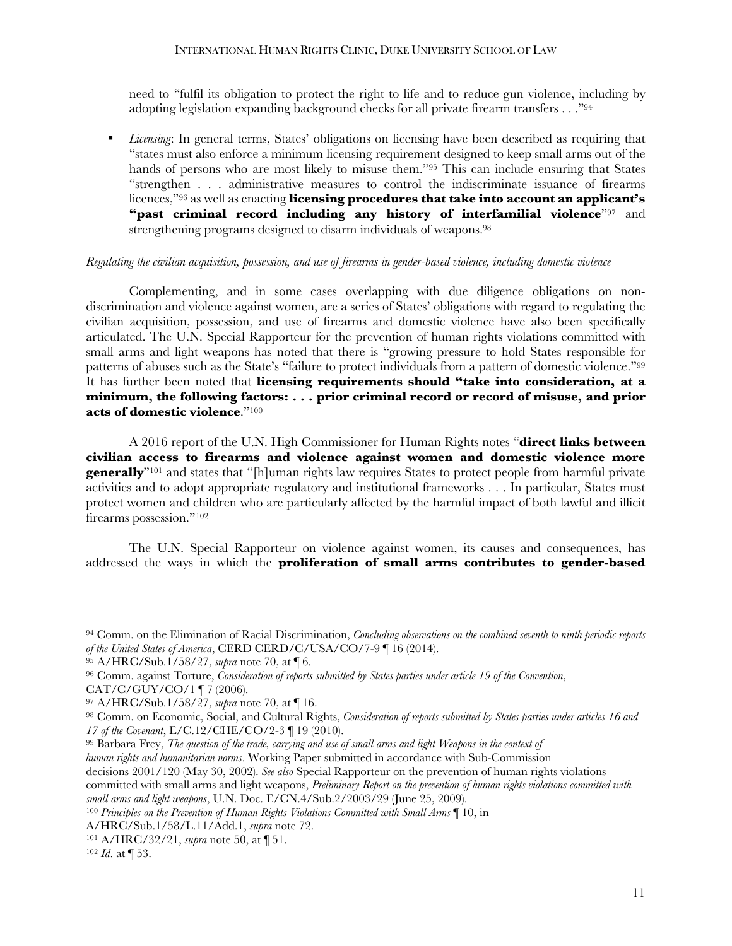need to "fulfil its obligation to protect the right to life and to reduce gun violence, including by adopting legislation expanding background checks for all private firearm transfers . . ."94

■ *Licensing*: In general terms, States' obligations on licensing have been described as requiring that "states must also enforce a minimum licensing requirement designed to keep small arms out of the hands of persons who are most likely to misuse them."<sup>95</sup> This can include ensuring that States "strengthen . . . administrative measures to control the indiscriminate issuance of firearms licences,"96 as well as enacting **licensing procedures that take into account an applicant's "past criminal record including any history of interfamilial violence**"97 and strengthening programs designed to disarm individuals of weapons.98

#### *Regulating the civilian acquisition, possession, and use of firearms in gender-based violence, including domestic violence*

Complementing, and in some cases overlapping with due diligence obligations on nondiscrimination and violence against women, are a series of States' obligations with regard to regulating the civilian acquisition, possession, and use of firearms and domestic violence have also been specifically articulated. The U.N. Special Rapporteur for the prevention of human rights violations committed with small arms and light weapons has noted that there is "growing pressure to hold States responsible for patterns of abuses such as the State's "failure to protect individuals from a pattern of domestic violence."99 It has further been noted that **licensing requirements should "take into consideration, at a minimum, the following factors: . . . prior criminal record or record of misuse, and prior acts of domestic violence**."100

A 2016 report of the U.N. High Commissioner for Human Rights notes "**direct links between civilian access to firearms and violence against women and domestic violence more generally**"<sup>101</sup> and states that "[h]uman rights law requires States to protect people from harmful private activities and to adopt appropriate regulatory and institutional frameworks . . . In particular, States must protect women and children who are particularly affected by the harmful impact of both lawful and illicit firearms possession."102

The U.N. Special Rapporteur on violence against women, its causes and consequences, has addressed the ways in which the **proliferation of small arms contributes to gender-based** 

<sup>94</sup> Comm. on the Elimination of Racial Discrimination, *Concluding observations on the combined seventh to ninth periodic reports of the United States of America*, CERD CERD/C/USA/CO/7-9 ¶ 16 (2014). 95 A/HRC/Sub.1/58/27, *supra* note 70, at ¶ 6.

<sup>96</sup> Comm. against Torture, *Consideration of reports submitted by States parties under article 19 of the Convention*,

CAT/C/GUY/CO/1 ¶ 7 (2006).

<sup>97</sup> A/HRC/Sub.1/58/27, *supra* note 70, at ¶ 16. 98 Comm. on Economic, Social, and Cultural Rights, *Consideration of reports submitted by States parties under articles 16 and 17 of the Covenant*, E/C.12/CHE/CO/2-3 ¶ 19 (2010).

<sup>99</sup> Barbara Frey, *The question of the trade, carrying and use of small arms and light Weapons in the context of* 

*human rights and humanitarian norms*. Working Paper submitted in accordance with Sub-Commission

decisions 2001/120 (May 30, 2002). *See also* Special Rapporteur on the prevention of human rights violations

committed with small arms and light weapons, *Preliminary Report on the prevention of human rights violations committed with small arms and light weapons*, U.N. Doc. E/CN.4/Sub.2/2003/29 (June 25, 2009).

<sup>100</sup> *Principles on the Prevention of Human Rights Violations Committed with Small Arms* ¶ 10, in

A/HRC/Sub.1/58/L.11/Add.1, *supra* note 72.

<sup>101</sup> A/HRC/32/21, *supra* note 50, at ¶ 51.

<sup>102</sup> *Id*. at ¶ 53.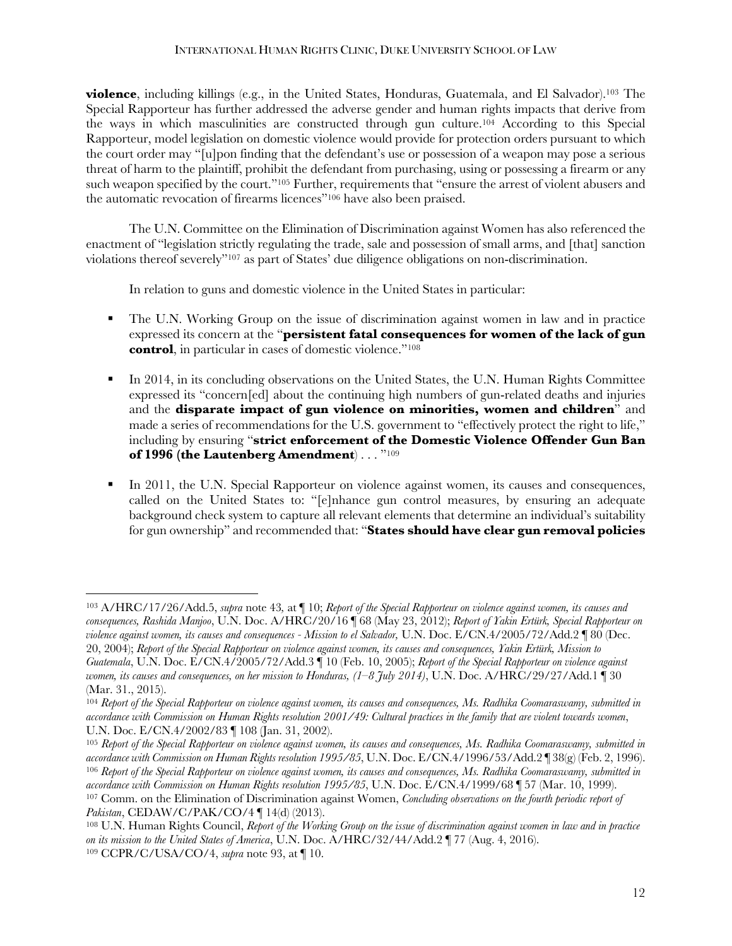**violence**, including killings (e.g., in the United States, Honduras, Guatemala, and El Salvador).103 The Special Rapporteur has further addressed the adverse gender and human rights impacts that derive from the ways in which masculinities are constructed through gun culture.104 According to this Special Rapporteur, model legislation on domestic violence would provide for protection orders pursuant to which the court order may "[u]pon finding that the defendant's use or possession of a weapon may pose a serious threat of harm to the plaintiff, prohibit the defendant from purchasing, using or possessing a firearm or any such weapon specified by the court."105 Further, requirements that "ensure the arrest of violent abusers and the automatic revocation of firearms licences"106 have also been praised.

The U.N. Committee on the Elimination of Discrimination against Women has also referenced the enactment of "legislation strictly regulating the trade, sale and possession of small arms, and [that] sanction violations thereof severely"107 as part of States' due diligence obligations on non-discrimination.

In relation to guns and domestic violence in the United States in particular:

- § The U.N. Working Group on the issue of discrimination against women in law and in practice expressed its concern at the "**persistent fatal consequences for women of the lack of gun control**, in particular in cases of domestic violence."<sup>108</sup>
- In 2014, in its concluding observations on the United States, the U.N. Human Rights Committee expressed its "concern[ed] about the continuing high numbers of gun-related deaths and injuries and the **disparate impact of gun violence on minorities, women and children**" and made a series of recommendations for the U.S. government to "effectively protect the right to life," including by ensuring "**strict enforcement of the Domestic Violence Offender Gun Ban of 1996 (the Lautenberg Amendment**) . . . "109
- In 2011, the U.N. Special Rapporteur on violence against women, its causes and consequences, called on the United States to: "[e]nhance gun control measures, by ensuring an adequate background check system to capture all relevant elements that determine an individual's suitability for gun ownership" and recommended that: "**States should have clear gun removal policies**

<sup>103</sup> A/HRC/17/26/Add.5, *supra* note 43*,* at ¶ 10; *Report of the Special Rapporteur on violence against women, its causes and consequences, Rashida Manjoo*, U.N. Doc. A/HRC/20/16 ¶ 68 (May 23, 2012); *Report of Yakin Ertürk, Special Rapporteur on violence against women, its causes and consequences - Mission to el Salvador,* U.N. Doc. E/CN.4/2005/72/Add.2 ¶ 80 (Dec. 20, 2004); *Report of the Special Rapporteur on violence against women, its causes and consequences, Yakin Erturk, Mission to ̈ Guatemala*, U.N. Doc. E/CN.4/2005/72/Add.3 ¶ 10 (Feb. 10, 2005); *Report of the Special Rapporteur on violence against women, its causes and consequences, on her mission to Honduras, (1–8 July 2014)*, U.N. Doc. A/HRC/29/27/Add.1 ¶ 30 (Mar. 31., 2015).

<sup>104</sup> *Report of the Special Rapporteur on violence against women, its causes and consequences, Ms. Radhika Coomaraswamy, submitted in accordance with Commission on Human Rights resolution 2001/49: Cultural practices in the family that are violent towards women*, U.N. Doc. E/CN.4/2002/83 ¶ 108 (Jan. 31, 2002).

<sup>105</sup> *Report of the Special Rapporteur on violence against women, its causes and consequences, Ms. Radhika Coomaraswamy, submitted in accordance with Commission on Human Rights resolution 1995/85*, U.N. Doc. E/CN.4/1996/53/Add.2 ¶ 38(g) (Feb. 2, 1996). <sup>106</sup> *Report of the Special Rapporteur on violence against women, its causes and consequences, Ms. Radhika Coomaraswamy, submitted in accordance with Commission on Human Rights resolution 1995/85*, U.N. Doc. E/CN.4/1999/68 ¶ 57 (Mar. 10, 1999). <sup>107</sup> Comm. on the Elimination of Discrimination against Women, *Concluding observations on the fourth periodic report of Pakistan*, CEDAW/C/PAK/CO/4 ¶ 14(d) (2013).

<sup>108</sup> U.N. Human Rights Council, *Report of the Working Group on the issue of discrimination against women in law and in practice on its mission to the United States of America*, U.N. Doc. A/HRC/32/44/Add.2 ¶ 77 (Aug. 4, 2016). <sup>109</sup> CCPR/C/USA/CO/4, *supra* note 93, at ¶ 10.